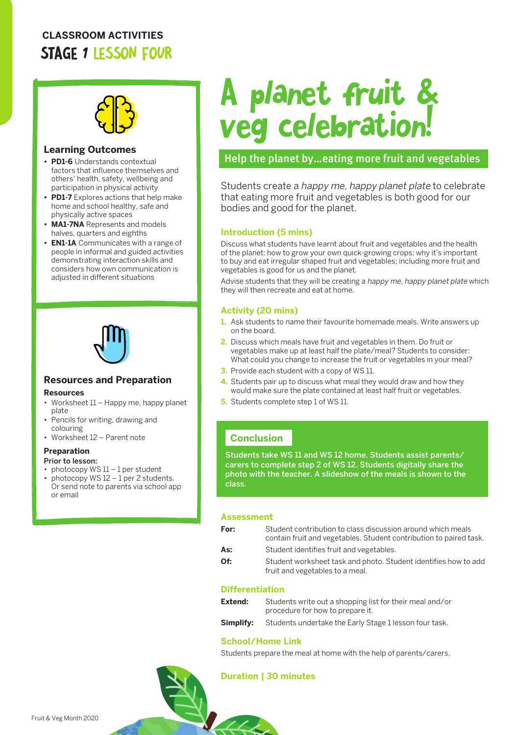# **CLASSROOM ACTIVITIES** STAGE 1 LESSON FOUR



#### **Learning Outcomes**

- **• PD1-6** Understands contextual factors that influence themselves and others' health, safety, wellbeing and participation in physical activity
- **• PD1-7** Explores actions that help make home and school healthy, safe and physically active spaces
- **• MA1-7NA** Represents and models halves, quarters and eighths
- **• EN1-1A** Communicates with a range of people in informal and guided activities demonstrating interaction skills and considers how own communication is adjusted in different situations



## **Resources and Preparation**

#### **Resources**

- Worksheet 11 Happy me, happy planet plate
- Pencils for writing, drawing and colouring
- Worksheet 12 Parent note

#### **Preparation**

- Prior to lesson:
- photocopy WS 11 1 per student
- photocopy WS  $12 1$  per 2 students. Or send note to parents via school app or email

# A planet fruit & veg celebration!

# Help the planet by…eating more fruit and vegetables

Students create a happy me, happy planet plate to celebrate that eating more fruit and vegetables is both good for our bodies and good for the planet.

#### **Introduction (5 mins)**

Discuss what students have learnt about fruit and vegetables and the health of the planet: how to grow your own quick-growing crops; why it's important to buy and eat irregular shaped fruit and vegetables; including more fruit and vegetables is good for us and the planet.

Advise students that they will be creating a happy me, happy planet plate which they will then recreate and eat at home.

#### **Activity (20 mins)**

- **1.** Ask students to name their favourite homemade meals. Write answers up on the board.
- **2.** Discuss which meals have fruit and vegetables in them. Do fruit or vegetables make up at least half the plate/meal? Students to consider: What could you change to increase the fruit or vegetables in your meal?
- **3.** Provide each student with a copy of WS 11.
- **4.** Students pair up to discuss what meal they would draw and how they would make sure the plate contained at least half fruit or vegetables.
- **5.** Students complete step 1 of WS 11.

## **Conclusion**

Students take WS 11 and WS 12 home. Students assist parents/ carers to complete step 2 of WS 12. Students digitally share the photo with the teacher. A slideshow of the meals is shown to the class.

#### **Assessment**

| For: | Student contribution to class discussion around which meals<br>contain fruit and vegetables. Student contribution to paired task. |
|------|-----------------------------------------------------------------------------------------------------------------------------------|
| As:  | Student identifies fruit and vegetables.                                                                                          |
| Of:  | Student worksheet task and photo. Student identifies how to add<br>fruit and vegetables to a meal.                                |

#### **Differentiation**

| Extend:   | Students write out a shopping list for their meal and/or<br>procedure for how to prepare it. |
|-----------|----------------------------------------------------------------------------------------------|
| Simplify: | Students undertake the Early Stage 1 lesson four task.                                       |

#### **School/Home Link**

Students prepare the meal at home with the help of parents/carers.

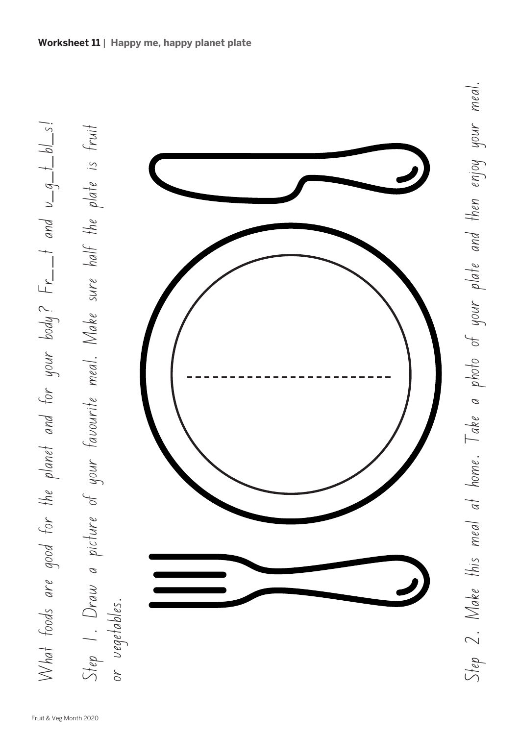